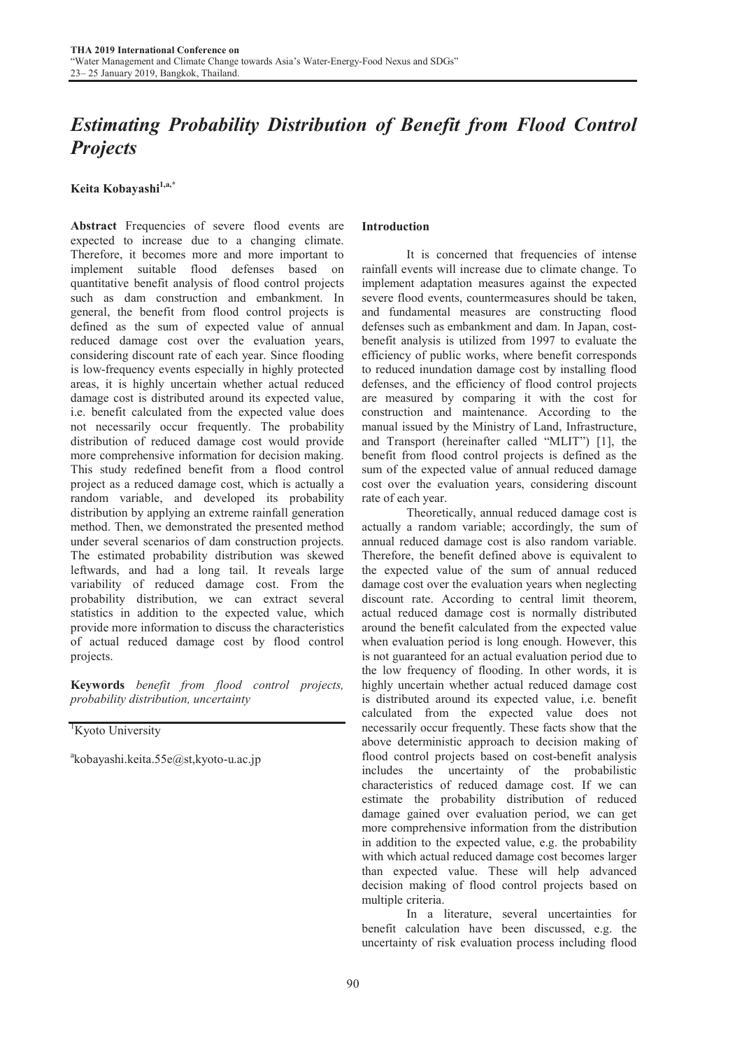# *Estimating Probability Distribution of Benefit from Flood Control Projects*

Keita Kobayashi<sup>1,a,\*</sup>

Abstract Frequencies of severe flood events are expected to increase due to a changing climate. Therefore, it becomes more and more important to implement suitable flood defenses based on quantitative benefit analysis of flood control projects such as dam construction and embankment. In general, the benefit from flood control projects is defined as the sum of expected value of annual reduced damage cost over the evaluation years, considering discount rate of each year. Since flooding is low-frequency events especially in highly protected areas, it is highly uncertain whether actual reduced damage cost is distributed around its expected value, i.e. benefit calculated from the expected value does not necessarily occur frequently. The probability distribution of reduced damage cost would provide more comprehensive information for decision making. This study redefined benefit from a flood control project as a reduced damage cost, which is actually a random variable, and developed its probability distribution by applying an extreme rainfall generation method. Then, we demonstrated the presented method under several scenarios of dam construction projects. The estimated probability distribution was skewed leftwards, and had a long tail. It reveals large variability of reduced damage cost. From the probability distribution, we can extract several statistics in addition to the expected value, which provide more information to discuss the characteristics of actual reduced damage cost by flood control projects.

Keywords *benefit from flood control projects, probability distribution, uncertainty*

<sup>1</sup>Kyoto University

a kobayashi.keita.55e@st,kyoto-u.ac.jp

# Introduction

 It is concerned that frequencies of intense rainfall events will increase due to climate change. To implement adaptation measures against the expected severe flood events, countermeasures should be taken, and fundamental measures are constructing flood defenses such as embankment and dam. In Japan, costbenefit analysis is utilized from 1997 to evaluate the efficiency of public works, where benefit corresponds to reduced inundation damage cost by installing flood defenses, and the efficiency of flood control projects are measured by comparing it with the cost for construction and maintenance. According to the manual issued by the Ministry of Land, Infrastructure, and Transport (hereinafter called "MLIT") [1], the benefit from flood control projects is defined as the sum of the expected value of annual reduced damage cost over the evaluation years, considering discount rate of each year.

 Theoretically, annual reduced damage cost is actually a random variable; accordingly, the sum of annual reduced damage cost is also random variable. Therefore, the benefit defined above is equivalent to the expected value of the sum of annual reduced damage cost over the evaluation years when neglecting discount rate. According to central limit theorem, actual reduced damage cost is normally distributed around the benefit calculated from the expected value when evaluation period is long enough. However, this is not guaranteed for an actual evaluation period due to the low frequency of flooding. In other words, it is highly uncertain whether actual reduced damage cost is distributed around its expected value, i.e. benefit calculated from the expected value does not necessarily occur frequently. These facts show that the above deterministic approach to decision making of flood control projects based on cost-benefit analysis includes the uncertainty of the probabilistic characteristics of reduced damage cost. If we can estimate the probability distribution of reduced damage gained over evaluation period, we can get more comprehensive information from the distribution in addition to the expected value, e.g. the probability with which actual reduced damage cost becomes larger than expected value. These will help advanced decision making of flood control projects based on multiple criteria.

 In a literature, several uncertainties for benefit calculation have been discussed, e.g. the uncertainty of risk evaluation process including flood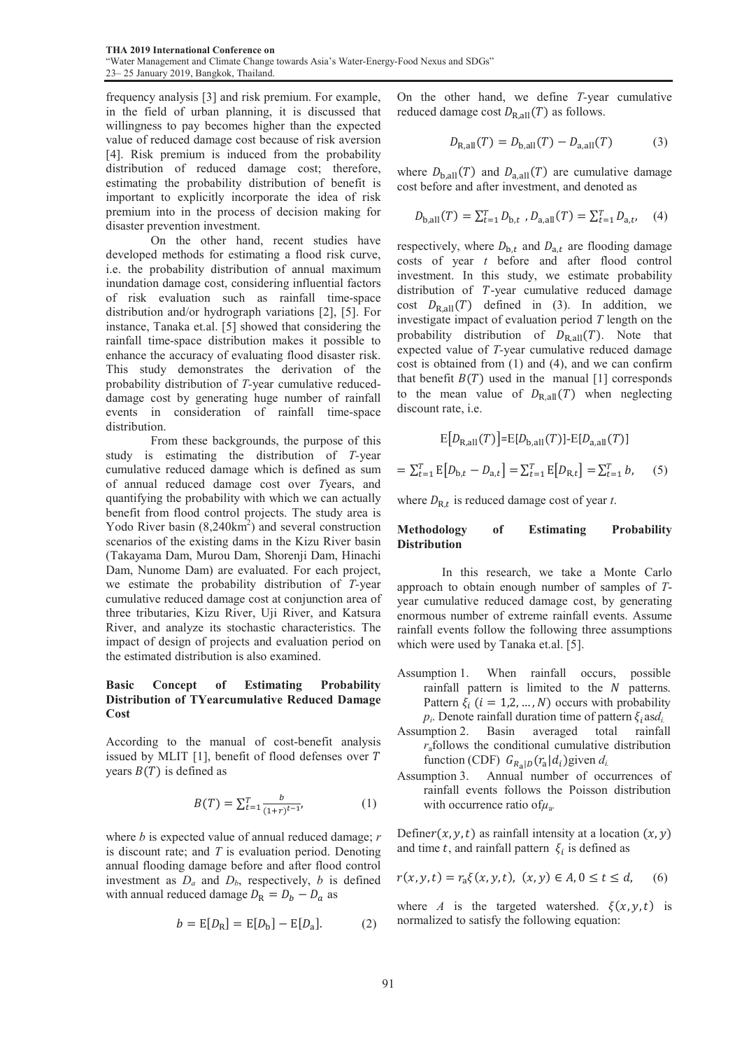frequency analysis [3] and risk premium. For example, in the field of urban planning, it is discussed that willingness to pay becomes higher than the expected value of reduced damage cost because of risk aversion [4]. Risk premium is induced from the probability distribution of reduced damage cost; therefore, estimating the probability distribution of benefit is important to explicitly incorporate the idea of risk premium into in the process of decision making for disaster prevention investment.

 On the other hand, recent studies have developed methods for estimating a flood risk curve, i.e. the probability distribution of annual maximum inundation damage cost, considering influential factors of risk evaluation such as rainfall time-space distribution and/or hydrograph variations [2], [5]. For instance, Tanaka et.al. [5] showed that considering the rainfall time-space distribution makes it possible to enhance the accuracy of evaluating flood disaster risk. This study demonstrates the derivation of the probability distribution of *T-*year cumulative reduceddamage cost by generating huge number of rainfall events in consideration of rainfall time-space distribution.

 From these backgrounds, the purpose of this study is estimating the distribution of *T-*year cumulative reduced damage which is defined as sum of annual reduced damage cost over *T*years, and quantifying the probability with which we can actually benefit from flood control projects. The study area is Yodo River basin  $(8,240 \text{km}^2)$  and several construction scenarios of the existing dams in the Kizu River basin (Takayama Dam, Murou Dam, Shorenji Dam, Hinachi Dam, Nunome Dam) are evaluated. For each project, we estimate the probability distribution of *T-*year cumulative reduced damage cost at conjunction area of three tributaries, Kizu River, Uji River, and Katsura River, and analyze its stochastic characteristics. The impact of design of projects and evaluation period on the estimated distribution is also examined.

# Basic Concept of Estimating Probability Distribution of TYearcumulative Reduced Damage Cost

According to the manual of cost-benefit analysis issued by MLIT  $[1]$ , benefit of flood defenses over  $T$ years  $B(T)$  is defined as

$$
B(T) = \sum_{t=1}^{T} \frac{b}{(1+r)^{t-1}},
$$
 (1)

where *b* is expected value of annual reduced damage; *r*  is discount rate; and *T* is evaluation period. Denoting annual flooding damage before and after flood control investment as  $D_a$  and  $D_b$ , respectively, *b* is defined with annual reduced damage  $D_R = D_b - D_a$  as

$$
b = E[D_R] = E[D_b] - E[D_a].
$$
 (2)

On the other hand, we define *T-*year cumulative reduced damage cost  $D_{\text{R,all}}(T)$  as follows.

$$
D_{\rm R,all}(T) = D_{\rm b,all}(T) - D_{\rm a,all}(T) \tag{3}
$$

where  $D_{b,all}(T)$  and  $D_{a,all}(T)$  are cumulative damage cost before and after investment, and denoted as

$$
D_{\text{b,all}}(T) = \sum_{t=1}^{T} D_{\text{b},t} , D_{\text{a,all}}(T) = \sum_{t=1}^{T} D_{\text{a},t}, \quad (4)
$$

respectively, where  $D_{b,t}$  and  $D_{a,t}$  are flooding damage costs of year *t* before and after flood control investment. In this study, we estimate probability distribution of  $T$ -year cumulative reduced damage cost  $D_{\text{R,all}}(T)$  defined in (3). In addition, we investigate impact of evaluation period *T* length on the probability distribution of  $D_{\text{Rall}}(T)$ . Note that expected value of *T-*year cumulative reduced damage cost is obtained from (1) and (4), and we can confirm that benefit  $B(T)$  used in the manual [1] corresponds to the mean value of  $D_{\text{R,all}}(T)$  when neglecting discount rate, i.e.

$$
E[D_{R,aII}(T)] = E[D_{b,aII}(T)] - E[D_{a,aII}(T)]
$$
  
=  $\sum_{t=1}^{T} E[D_{b,t} - D_{a,t}] = \sum_{t=1}^{T} E[D_{R,t}] = \sum_{t=1}^{T} b,$  (5)

where  $D_{\text{R},t}$  is reduced damage cost of year *t*.

## Methodology of Estimating Probability Distribution

 In this research, we take a Monte Carlo approach to obtain enough number of samples of *T*year cumulative reduced damage cost, by generating enormous number of extreme rainfall events. Assume rainfall events follow the following three assumptions which were used by Tanaka et.al. [5].

- Assumption 1. When rainfall occurs, possible rainfall pattern is limited to the  $N$  patterns. Pattern  $\xi$ <sub>i</sub> ( $i = 1, 2, ..., N$ ) occurs with probability
- *p<sub>i</sub>*. Denote rainfall duration time of pattern  $\xi_i$  as *d<sub>i</sub>*. Assumption 2. Basin averaged total rainfal total rainfall *r*afollows the conditional cumulative distribution function (CDF)  $G_{R_{a}|D}(r_{a}|d_{i})$ given  $d_{i}$
- Assumption 3. Annual number of occurrences of rainfall events follows the Poisson distribution with occurrence ratio ofμa*.*

Definer(x, y, t) as rainfall intensity at a location  $(x, y)$ and time t, and rainfall pattern  $\xi_i$  is defined as

$$
r(x, y, t) = r_a \xi(x, y, t), (x, y) \in A, 0 \le t \le d,
$$
 (6)

where *A* is the targeted watershed.  $\xi(x, y, t)$  is normalized to satisfy the following equation: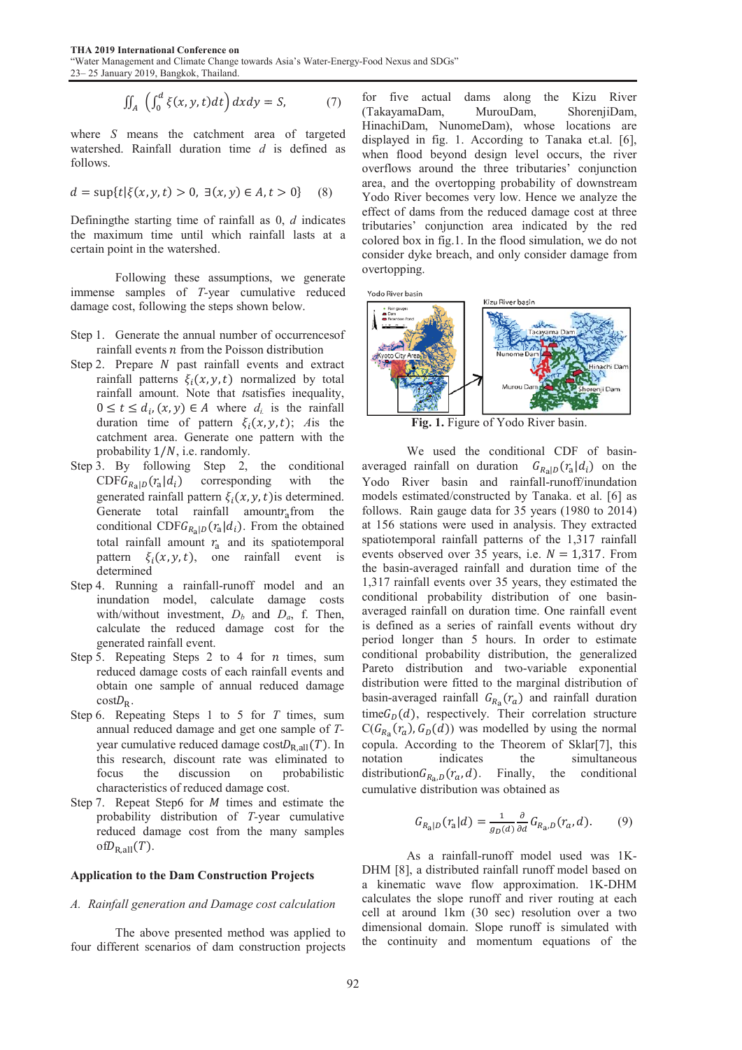THA 2019 International Conference on "Water Management and Climate Change towards Asia's Water-Energy-Food Nexus and SDGs" 23– 25 January 2019, Bangkok, Thailand.

$$
\iint_{A} \left( \int_{0}^{d} \xi(x, y, t) dt \right) dx dy = S,
$$
 (7)

where  $S$  means the catchment area of targeted watershed. Rainfall duration time *d*  is defined as follows.

$$
d = \sup\{t | \xi(x, y, t) > 0, \exists (x, y) \in A, t > 0\} \tag{8}
$$

Definingthe starting time of rainfall as 0, *d* indicates the maximum time until which rainfall lasts at a certain point in the watershed.

Following these assumptions, we generate immense samples of *T*-year cumulative reduced damage cost, following the steps shown below.

- Step 1. Generate the annual number of occurrences of rainfall events  $n$  from the Poisson distribution
- Step 2. Prepare  $N$  past rainfall events and extract rainfall patterns  $\xi_i(x, y, t)$  normalized by total rainfall amount. Note that *t*satisf fies inequality,  $0 \le t \le d_i$ ,  $(x, y) \in A$  where  $d_i$  is the rainfall duration time of pattern  $\xi_i(x, y, t)$ ; *A*is the catchment area. Generate one pattern with the probability  $1/N$ , i.e. randomly.
- Step 3. By following Step 2, the conditional  $CDFG_{R_a|D}(r_a|d_i)$  corresponding generated rainfall pattern  $\xi_i(x, y, t)$  is determined. Generate total rainfall amount $r_a$  from the conditional CDF $G_{R_{\text{a}}|D}(r_{\text{a}}|d_i)$ . From the obtained total rainfall amount  $r_a$  and its spatiotemporal pattern  $\xi_i(x, y, t)$ , one rainfall event is determined with the
- Step 4. Running a rainfall-runoff model and an inundation model, calculate damage costs with/without investment,  $D_b$  and  $D_a$ , f. Then, calculate the reduced damage cost for the generated rainfall event.
- Step 5. Repeating Steps 2 to 4 for  $n$  times, sum reduced damage costs of each rainfall events and obtain one sample of annual reduced damage  $\cos tD_R$ .
- Step 6. Repeating Steps 1 to 5 for *T* times, sum annual reduced damage and get one sample of Tyear cumulative reduced damage  $costD_{R,all}(T)$ . In this research, discount rate was eliminated to focus the discussion on characteristics of reduced damage cost. probabilistic
- Step 7. Repeat Step6 for  $M$  times and estimate the probability distribution of T-year cumulative reduced damage cost from the many samples of $D_{\rm R, all}(T)$ .

#### Application to the Dam Construction Projects

#### A. Rainfall generation and Damage cost calculation

The above presented method was applied to four different scenarios of dam construction projects

for five actual dams along the Kizu River (TakayamaDam, MurouDam, HinachiDam, NunomeDam), whose locations are displayed in fig. 1. According to Tanaka et.al. [6], when flood beyond design leve l occurs, the river overflows around the three tributaries' conjunction area, and the overtopping probab ility of downstream Yodo River becomes very low. Hence we analyze the effect of dams from the reduced d damage cost at three tributaries' conjunction area indicated by the red colored box in fig.1. In the flood simulation, we do not consider dyke breach, and only co nsider damage from overtopping. ShorenjiDam,





Fig. 1. Figure of Yodo River basin.

We used the conditional CDF of basinaveraged rainfall on duration  $G_{R_{\rm a}|D}(r_{\rm a}|d_i)$  on the Yodo River basin and rainfall-runoff/inundation models estimated/constructed by T Tanaka. et al. [6] as follows. Rain gauge data for  $35$  years (1980 to  $2014$ ) at 156 stations were used in analysis. They extracted spatiotemporal rainfall patterns o f the 1,317 rainfall events observed over 35 years, i.e.  $N = 1,317$ . From the basin-averaged rainfall and d duration time of the 1,317 rainfall events over 35 years s, they estimated the conditional probability distribution of one basinaveraged rainfall on duration time. One rainfall event is defined as a series of rainfall events without dry period longer than 5 hours. In order to estimate conditional probability distribution, the generalized Pareto distribution and two-variable exponential distribution were fitted to the mar ginal distribution of basin-averaged rainfall  $G_{R_a}(\mathcal{r}_a)$  and rainfall duration time $G_D(d)$ , respectively. Their correlation structure  $C(G_{R_a}(\mathcal{r}_a), G_D(d))$  was modelled by using the normal copula. According to the Theore m of Sklar[7], this notation indicates the distribution $G_{R_a,D}(r_a, d)$ . Finally, the cumulative distribution was obtained as simultaneous conditional

$$
G_{R_{\rm a}|D}(r_{\rm a}|d) = \frac{1}{g_D(d)} \frac{\partial}{\partial d} G_{R_{\rm a},D}(r_a, d). \tag{9}
$$

 As a rainfall-runoff mo del used was 1K-DHM [8], a distributed rainfall runoff model based on a kinematic wave flow approximation. 1K-DHM calculates the slope runoff and river routing at each cell at around 1km (30 sec) res olution over a two dimensional domain. Slope runoff is simulated with the continuity and momentum equations of the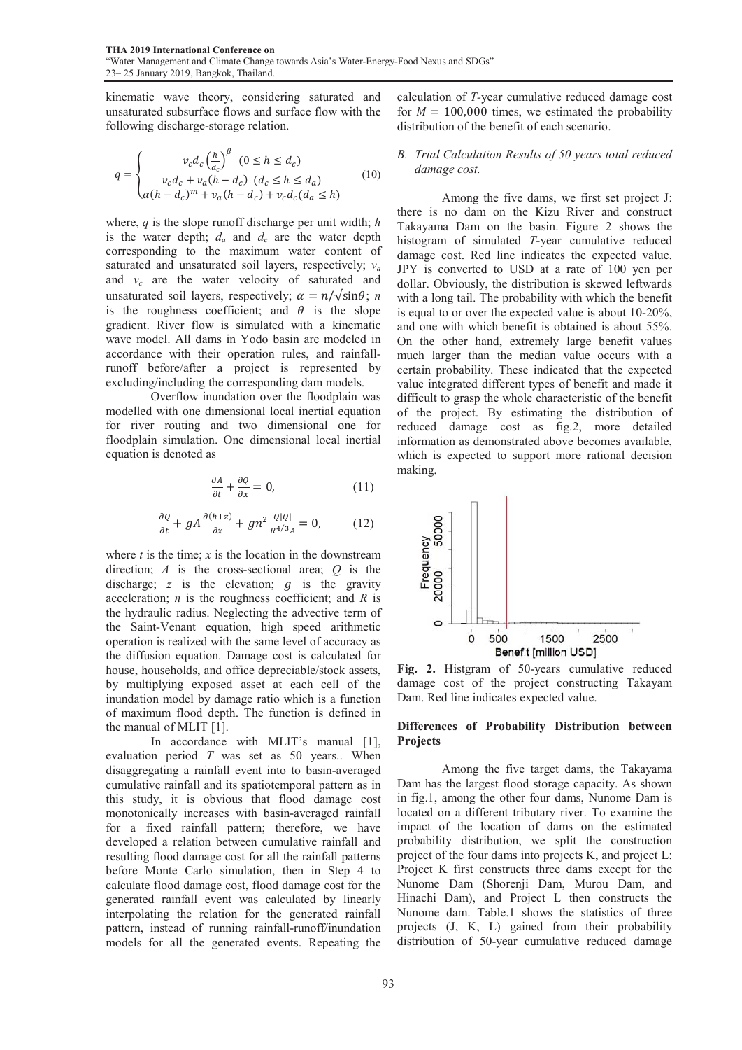kinematic wave theory, considering saturated and unsaturated subsurface flows and surface flow with the following discharge-storage relation.

$$
q = \begin{cases} v_c d_c \left(\frac{h}{d_c}\right)^{\beta} & (0 \le h \le d_c) \\ v_c d_c + v_a (h - d_c) & (d_c \le h \le d_a) \\ \alpha (h - d_c)^m + v_a (h - d_c) + v_c d_c (d_a \le h) \end{cases}
$$
(10)

where, *q* is the slope runoff discharge per unit width; *h* is the water depth;  $d_a$  and  $d_c$  are the water depth corresponding to the maximum water content of saturated and unsaturated soil layers, respectively; *va* and  $v_c$  are the water velocity of saturated and unsaturated soil layers, respectively;  $\alpha = n/\sqrt{\sin\theta}$ ; *n* is the roughness coefficient; and  $\theta$  is the slope gradient. River flow is simulated with a kinematic wave model. All dams in Yodo basin are modeled in accordance with their operation rules, and rainfallrunoff before/after a project is represented by excluding/including the corresponding dam models.

 Overflow inundation over the floodplain was modelled with one dimensional local inertial equation for river routing and two dimensional one for floodplain simulation. One dimensional local inertial equation is denoted as

$$
\frac{\partial A}{\partial t} + \frac{\partial Q}{\partial x} = 0, \tag{11}
$$

$$
\frac{\partial Q}{\partial t} + gA \frac{\partial (h+z)}{\partial x} + g n^2 \frac{Q|Q|}{R^{4/3}A} = 0, \quad (12)
$$

where  $t$  is the time;  $x$  is the location in the downstream direction; *A* is the cross-sectional area; *Q* is the discharge;  $z$  is the elevation;  $q$  is the gravity acceleration; *n* is the roughness coefficient; and *R* is the hydraulic radius. Neglecting the advective term of the Saint-Venant equation, high speed arithmetic operation is realized with the same level of accuracy as the diffusion equation. Damage cost is calculated for house, households, and office depreciable/stock assets, by multiplying exposed asset at each cell of the inundation model by damage ratio which is a function of maximum flood depth. The function is defined in the manual of MLIT [1].

In accordance with MLIT's manual [1], evaluation period *T* was set as 50 years.. When disaggregating a rainfall event into to basin-averaged cumulative rainfall and its spatiotemporal pattern as in this study, it is obvious that flood damage cost monotonically increases with basin-averaged rainfall for a fixed rainfall pattern; therefore, we have developed a relation between cumulative rainfall and resulting flood damage cost for all the rainfall patterns before Monte Carlo simulation, then in Step 4 to calculate flood damage cost, flood damage cost for the generated rainfall event was calculated by linearly interpolating the relation for the generated rainfall pattern, instead of running rainfall-runoff/inundation models for all the generated events. Repeating the

calculation of *T-*year cumulative reduced damage cost for  $M = 100,000$  times, we estimated the probability distribution of the benefit of each scenario.

#### *B. Trial Calculation Results of 50 years total reduced damage cost.*

 Among the five dams, we first set project J: there is no dam on the Kizu River and construct Takayama Dam on the basin. Figure 2 shows the histogram of simulated *T-*year cumulative reduced damage cost. Red line indicates the expected value. JPY is converted to USD at a rate of 100 yen per dollar. Obviously, the distribution is skewed leftwards with a long tail. The probability with which the benefit is equal to or over the expected value is about 10-20%, and one with which benefit is obtained is about 55%. On the other hand, extremely large benefit values much larger than the median value occurs with a certain probability. These indicated that the expected value integrated different types of benefit and made it difficult to grasp the whole characteristic of the benefit of the project. By estimating the distribution of reduced damage cost as fig.2, more detailed information as demonstrated above becomes available, which is expected to support more rational decision making.



Fig. 2. Histgram of 50-years cumulative reduced damage cost of the project constructing Takayam Dam. Red line indicates expected value.

#### Differences of Probability Distribution between Projects

 Among the five target dams, the Takayama Dam has the largest flood storage capacity. As shown in fig.1, among the other four dams, Nunome Dam is located on a different tributary river. To examine the impact of the location of dams on the estimated probability distribution, we split the construction project of the four dams into projects K, and project L: Project K first constructs three dams except for the Nunome Dam (Shorenji Dam, Murou Dam, and Hinachi Dam), and Project L then constructs the Nunome dam. Table.1 shows the statistics of three projects (J, K, L) gained from their probability distribution of 50-year cumulative reduced damage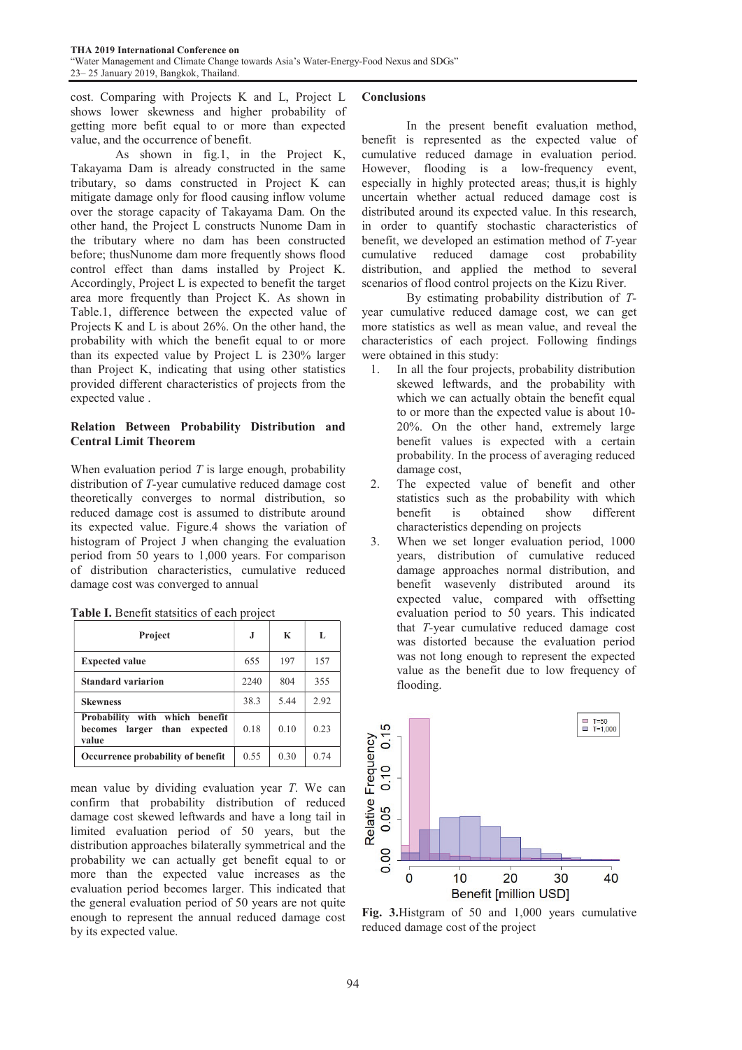cost. Comparing with Projects K and L, Project L shows lower skewness and higher probability of getting more befit equal to or more than expected value, and the occurrence of benefit.

 As shown in fig.1, in the Project K, Takayama Dam is already constructed in the same tributary, so dams constructed in Project K can mitigate damage only for flood causing inflow volume over the storage capacity of Takayama Dam. On the other hand, the Project L constructs Nunome Dam in the tributary where no dam has been constructed before; thusNunome dam more frequently shows flood control effect than dams installed by Project K. Accordingly, Project L is expected to benefit the target area more frequently than Project K. As shown in Table.1, difference between the expected value of Projects K and L is about 26%. On the other hand, the probability with which the benefit equal to or more than its expected value by Project L is 230% larger than Project K, indicating that using other statistics provided different characteristics of projects from the expected value .

# Relation Between Probability Distribution and Central Limit Theorem

When evaluation period *T* is large enough, probability distribution of *T-*year cumulative reduced damage cost theoretically converges to normal distribution, so reduced damage cost is assumed to distribute around its expected value. Figure.4 shows the variation of histogram of Project J when changing the evaluation period from 50 years to 1,000 years. For comparison of distribution characteristics, cumulative reduced damage cost was converged to annual

| <b>Project</b>                                                                | J.   | K    | L    |
|-------------------------------------------------------------------------------|------|------|------|
| <b>Expected value</b>                                                         | 655  | 197  | 157  |
| <b>Standard variarion</b>                                                     | 2240 | 804  | 355  |
| <b>Skewness</b>                                                               | 38.3 | 5.44 | 2.92 |
| Probability with which benefit<br>larger than<br>expected<br>becomes<br>value | 0.18 | 0.10 | 0.23 |
| Occurrence probability of benefit                                             | 0.55 | 0.30 | 0.74 |

|  | Table I. Benefit statsitics of each project |  |
|--|---------------------------------------------|--|
|  |                                             |  |

mean value by dividing evaluation year *T*. We can confirm that probability distribution of reduced damage cost skewed leftwards and have a long tail in limited evaluation period of 50 years, but the distribution approaches bilaterally symmetrical and the probability we can actually get benefit equal to or more than the expected value increases as the evaluation period becomes larger. This indicated that the general evaluation period of 50 years are not quite enough to represent the annual reduced damage cost by its expected value.

# **Conclusions**

 In the present benefit evaluation method, benefit is represented as the expected value of cumulative reduced damage in evaluation period. However, flooding is a low-frequency event, especially in highly protected areas; thus,it is highly uncertain whether actual reduced damage cost is distributed around its expected value. In this research, in order to quantify stochastic characteristics of benefit, we developed an estimation method of *T-*year cumulative reduced damage cost probability distribution, and applied the method to several scenarios of flood control projects on the Kizu River.

 By estimating probability distribution of *T*year cumulative reduced damage cost, we can get more statistics as well as mean value, and reveal the characteristics of each project. Following findings were obtained in this study:

- 1. In all the four projects, probability distribution skewed leftwards, and the probability with which we can actually obtain the benefit equal to or more than the expected value is about 10- 20%. On the other hand, extremely large benefit values is expected with a certain probability. In the process of averaging reduced damage cost,
- 2. The expected value of benefit and other statistics such as the probability with which benefit is obtained show different characteristics depending on projects
- 3. When we set longer evaluation period, 1000 years, distribution of cumulative reduced damage approaches normal distribution, and benefit wasevenly distributed around its expected value, compared with offsetting evaluation period to 50 years. This indicated that *T-*year cumulative reduced damage cost was distorted because the evaluation period was not long enough to represent the expected value as the benefit due to low frequency of flooding.



Fig. 3.Histgram of 50 and 1,000 years cumulative reduced damage cost of the project